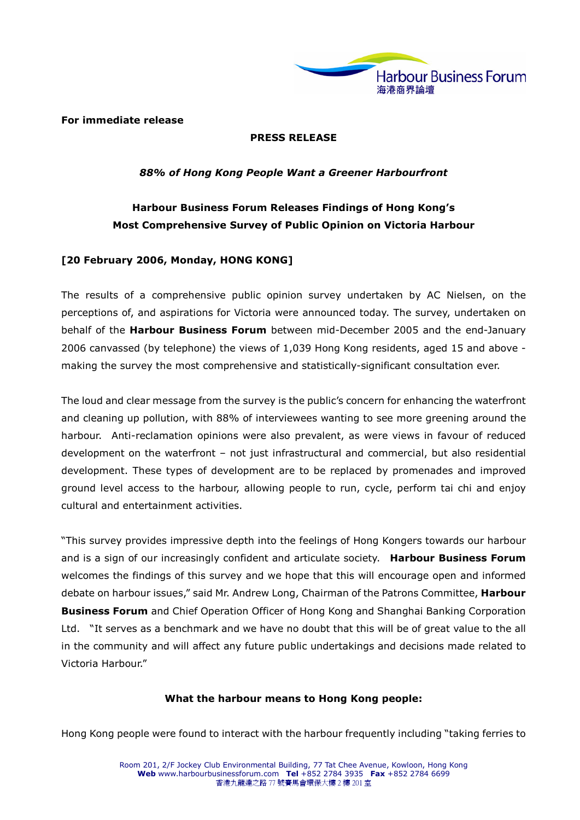

For immediate release

### PRESS RELEASE

### 88% of Hong Kong People Want a Greener Harbourfront

# Harbour Business Forum Releases Findings of Hong Kong's Most Comprehensive Survey of Public Opinion on Victoria Harbour

## [20 February 2006, Monday, HONG KONG]

The results of a comprehensive public opinion survey undertaken by AC Nielsen, on the perceptions of, and aspirations for Victoria were announced today. The survey, undertaken on behalf of the Harbour Business Forum between mid-December 2005 and the end-January 2006 canvassed (by telephone) the views of 1,039 Hong Kong residents, aged 15 and above making the survey the most comprehensive and statistically-significant consultation ever.

The loud and clear message from the survey is the public's concern for enhancing the waterfront and cleaning up pollution, with 88% of interviewees wanting to see more greening around the harbour. Anti-reclamation opinions were also prevalent, as were views in favour of reduced development on the waterfront – not just infrastructural and commercial, but also residential development. These types of development are to be replaced by promenades and improved ground level access to the harbour, allowing people to run, cycle, perform tai chi and enjoy cultural and entertainment activities.

"This survey provides impressive depth into the feelings of Hong Kongers towards our harbour and is a sign of our increasingly confident and articulate society. Harbour Business Forum welcomes the findings of this survey and we hope that this will encourage open and informed debate on harbour issues," said Mr. Andrew Long, Chairman of the Patrons Committee, Harbour **Business Forum** and Chief Operation Officer of Hong Kong and Shanghai Banking Corporation Ltd. "It serves as a benchmark and we have no doubt that this will be of great value to the all in the community and will affect any future public undertakings and decisions made related to Victoria Harbour."

### What the harbour means to Hong Kong people:

Hong Kong people were found to interact with the harbour frequently including "taking ferries to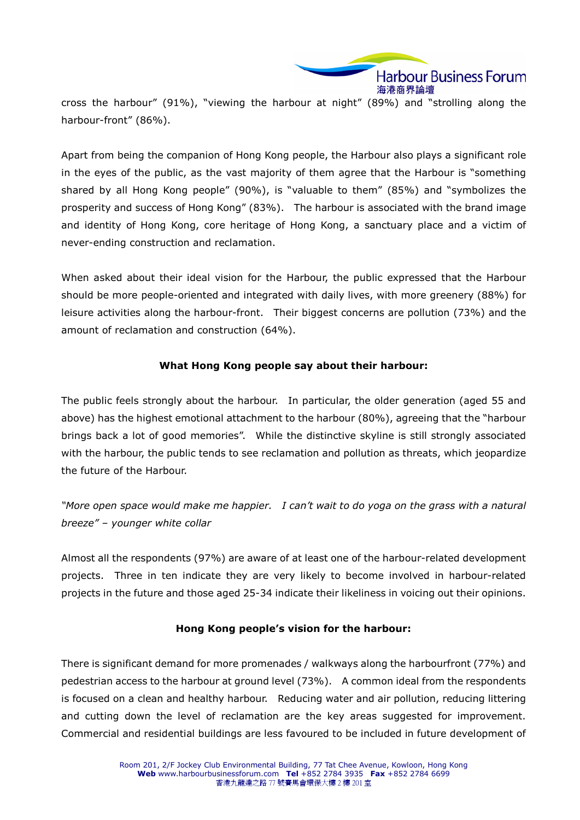

cross the harbour" (91%), "viewing the harbour at night" (89%) and "strolling along the harbour-front" (86%).

Apart from being the companion of Hong Kong people, the Harbour also plays a significant role in the eyes of the public, as the vast majority of them agree that the Harbour is "something shared by all Hong Kong people" (90%), is "valuable to them" (85%) and "symbolizes the prosperity and success of Hong Kong" (83%). The harbour is associated with the brand image and identity of Hong Kong, core heritage of Hong Kong, a sanctuary place and a victim of never-ending construction and reclamation.

When asked about their ideal vision for the Harbour, the public expressed that the Harbour should be more people-oriented and integrated with daily lives, with more greenery (88%) for leisure activities along the harbour-front. Their biggest concerns are pollution (73%) and the amount of reclamation and construction (64%).

### What Hong Kong people say about their harbour:

The public feels strongly about the harbour. In particular, the older generation (aged 55 and above) has the highest emotional attachment to the harbour (80%), agreeing that the "harbour brings back a lot of good memories". While the distinctive skyline is still strongly associated with the harbour, the public tends to see reclamation and pollution as threats, which jeopardize the future of the Harbour.

"More open space would make me happier. I can't wait to do yoga on the grass with a natural breeze" – younger white collar

Almost all the respondents (97%) are aware of at least one of the harbour-related development projects. Three in ten indicate they are very likely to become involved in harbour-related projects in the future and those aged 25-34 indicate their likeliness in voicing out their opinions.

### Hong Kong people's vision for the harbour:

There is significant demand for more promenades / walkways along the harbourfront (77%) and pedestrian access to the harbour at ground level (73%). A common ideal from the respondents is focused on a clean and healthy harbour. Reducing water and air pollution, reducing littering and cutting down the level of reclamation are the key areas suggested for improvement. Commercial and residential buildings are less favoured to be included in future development of